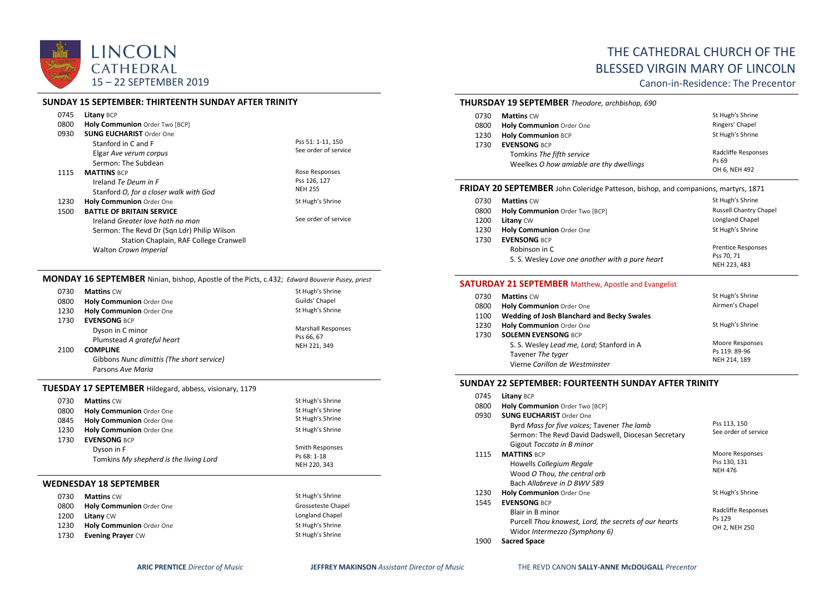

## **SUNDAY 15 SEPTEMBER: THIRTEENTH SUNDAY AFTER TRINITY**

| 0745 | Litany BCP                                  |                      |
|------|---------------------------------------------|----------------------|
| 0800 | Holy Communion Order Two [BCP]              |                      |
| 0930 | <b>SUNG EUCHARIST Order One</b>             |                      |
|      | Stanford in C and F                         | Pss 51: 1-11, 150    |
|      | Elgar Ave verum corpus                      | See order of service |
|      | Sermon: The Subdean                         |                      |
| 1115 | <b>MATTINS BCP</b>                          | Rose Responses       |
|      | Ireland Te Deum in F                        | Pss 126, 127         |
|      | Stanford O, for a closer walk with God      | <b>NEH 255</b>       |
| 1230 | <b>Holy Communion Order One</b>             | St Hugh's Shrine     |
| 1500 | <b>BATTLE OF BRITAIN SERVICE</b>            |                      |
|      | Ireland Greater love hath no man            | See order of service |
|      | Sermon: The Revd Dr (Sgn Ldr) Philip Wilson |                      |
|      | Station Chaplain, RAF College Cranwell      |                      |
|      | Walton Crown Imperial                       |                      |

### **MONDAY 16 SEPTEMBER** Ninian, bishop, Apostle of the Picts, c.432; *Edward Bouverie Pusey, priest*

| 0730 | <b>Mattins CW</b>                         | St Hugh's Shrine          |
|------|-------------------------------------------|---------------------------|
| 0800 | <b>Holy Communion Order One</b>           | Guilds' Chapel            |
| 1230 | Holy Communion Order One                  | St Hugh's Shrine          |
| 1730 | <b>EVENSONG BCP</b>                       |                           |
|      | Dyson in C minor                          | <b>Marshall Responses</b> |
|      | Plumstead A grateful heart                | Pss 66, 67                |
| 2100 | <b>COMPLINE</b>                           | NEH 221, 349              |
|      | Gibbons Nunc dimittis (The short service) |                           |
|      | Parsons Ave Maria                         |                           |
|      |                                           |                           |

# **TUESDAY 17 SEPTEMBER** Hildegard, abbess, visionary, 1179

| 0730<br>0800<br>0845<br>1230<br>1730 | <b>Mattins CW</b><br><b>Holy Communion Order One</b><br>Holy Communion Order One<br>Holy Communion Order One<br><b>EVENSONG BCP</b> | St Hugh's Shrine<br>St Hugh's Shrine<br>St Hugh's Shrine<br>St Hugh's Shrine |
|--------------------------------------|-------------------------------------------------------------------------------------------------------------------------------------|------------------------------------------------------------------------------|
|                                      | Dyson in F<br>Tomkins My shepherd is the living Lord                                                                                | Smith Responses<br>Ps 68: 1-18<br>NEH 220, 343                               |
|                                      | WEDNESDAY 18 SEPTEMBER                                                                                                              |                                                                              |
| 0730                                 | <b>Mattins CW</b>                                                                                                                   | St Hugh's Shrine                                                             |
| 0800                                 | <b>Holy Communion Order One</b>                                                                                                     | Grosseteste Chapel                                                           |
| 1200                                 | <b>Litany CW</b>                                                                                                                    | Longland Chapel                                                              |
| 1230                                 | <b>Holy Communion Order One</b>                                                                                                     | St Hugh's Shrine                                                             |

# THE CATHEDRAL CHURCH OF THE BLESSED VIRGIN MARY OF LINCOLN

Canon-in-Residence: The Precentor

## **THURSDAY 19 SEPTEMBER** *Theodore, archbishop, 690*

| 0730 | <b>Mattins CW</b>                                                                           | St Hugh's Shrine                              |
|------|---------------------------------------------------------------------------------------------|-----------------------------------------------|
| 0800 | <b>Holy Communion Order One</b>                                                             | Ringers' Chapel                               |
| 1230 | <b>Holy Communion BCP</b>                                                                   | St Hugh's Shrine                              |
| 1730 | <b>EVENSONG BCP</b><br>Tomkins The fifth service<br>Weelkes O how amiable are thy dwellings | Radcliffe Responses<br>Ps 69<br>OH 6, NEH 492 |

## **FRIDAY 20 SEPTEMBER** John Coleridge Patteson, bishop, and companions, martyrs, 1871

| 0730 | <b>Mattins CW</b>                               | St Hugh's Shrine              |
|------|-------------------------------------------------|-------------------------------|
| 0800 | Holy Communion Order Two [BCP]                  | <b>Russell Chantry Chapel</b> |
| 1200 | <b>Litany CW</b>                                | Longland Chapel               |
| 1230 | Holy Communion Order One                        | St Hugh's Shrine              |
| 1730 | <b>EVENSONG BCP</b>                             |                               |
|      | Robinson in C                                   | <b>Prentice Responses</b>     |
|      | S. S. Wesley Love one another with a pure heart | Pss 70, 71<br>NEH 223, 483    |

## **SATURDAY 21 SEPTEMBER** Matthew, Apostle and Evangelist

| 0730 | <b>Mattins CW</b>                          | St Hugh's Shrine |
|------|--------------------------------------------|------------------|
| 0800 | Holy Communion Order One                   | Airmen's Chapel  |
| 1100 | Wedding of Josh Blanchard and Becky Swales |                  |
| 1230 | Holy Communion Order One                   | St Hugh's Shrine |
| 1730 | <b>SOLEMN EVENSONG BCP</b>                 |                  |
|      | S. S. Wesley Lead me, Lord; Stanford in A  | Moore Responses  |
|      | Tavener The tyger                          | Ps 119: 89-96    |
|      | Vierne Carillon de Westminster             | NEH 214, 189     |

## **SUNDAY 22 SEPTEMBER: FOURTEENTH SUNDAY AFTER TRINITY**

| 0745 | Litany BCP                                                                                                                            |                                                   |
|------|---------------------------------------------------------------------------------------------------------------------------------------|---------------------------------------------------|
| 0800 | Holy Communion Order Two [BCP]                                                                                                        |                                                   |
| 0930 | <b>SUNG EUCHARIST Order One</b><br>Byrd Mass for five voices; Tavener The lamb<br>Sermon: The Revd David Dadswell, Diocesan Secretary | Pss 113, 150<br>See order of service              |
|      | Gigout Toccata in B minor                                                                                                             |                                                   |
| 1115 | <b>MATTINS BCP</b><br>Howells Collegium Regale<br>Wood O Thou, the central orb<br>Bach Allabreve in D BWV 589                         | Moore Responses<br>Pss 130, 131<br><b>NEH 476</b> |
| 1230 | <b>Holy Communion Order One</b>                                                                                                       | St Hugh's Shrine                                  |
| 1545 | <b>EVENSONG BCP</b><br>Blair in B minor<br>Purcell Thou knowest, Lord, the secrets of our hearts<br>Widor Intermezzo (Symphony 6)     | Radcliffe Responses<br>Ps 129<br>OH 2, NEH 250    |
| 1900 | <b>Sacred Space</b>                                                                                                                   |                                                   |

1730 **Evening Prayer** CW **State State State State State State State State Shrine** State Shrine